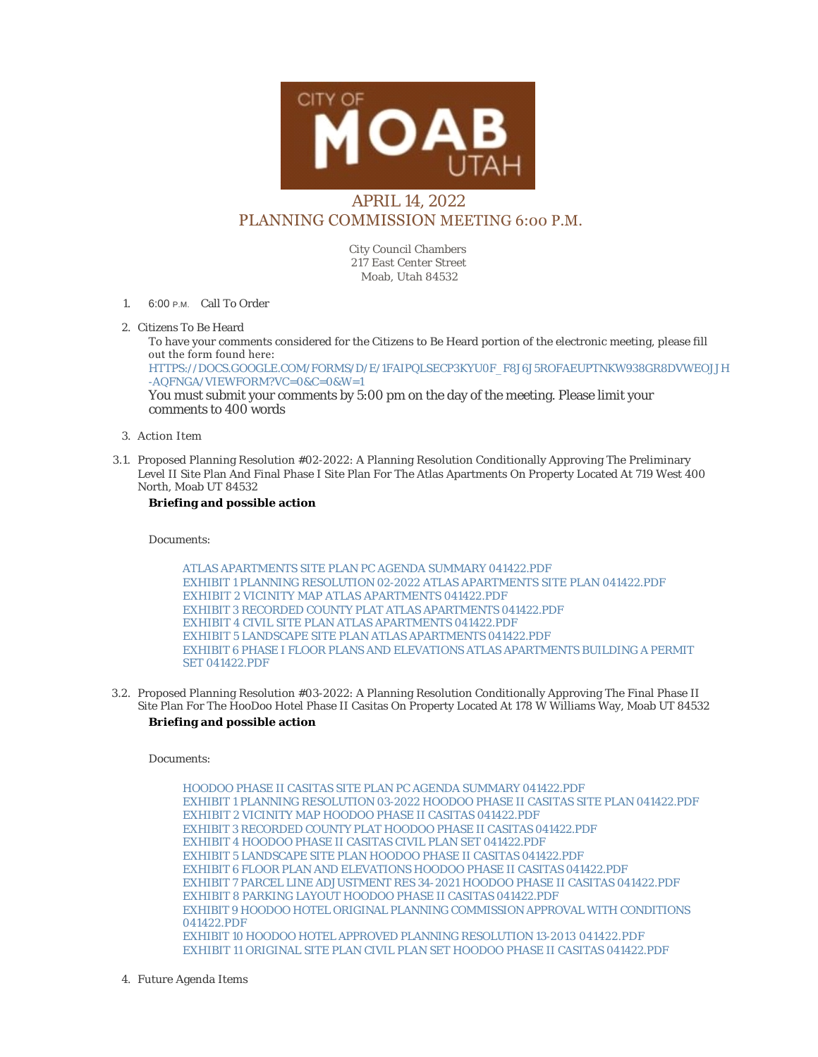

## APRIL 14, 2022 PLANNING COMMISSION MEETING 6:00 P.M.

City Council Chambers 217 East Center Street Moab, Utah 84532

- 1. 6:00 P.M. Call To Order
- 2. Citizens To Be Heard

To have your comments considered for the Citizens to Be Heard portion of the electronic meeting, please fill out the form found here: [HTTPS://DOCS.GOOGLE.COM/FORMS/D/E/1FAIPQLSECP3KYU0F\\_F8J6J5ROFAEUPTNKW938GR8DVWEOJJH](https://docs.google.com/forms/d/e/1FAIpQLSecp3kyu0F_f8J6J5ROfaeUPtNkW938GR8dvweOJjH-aQfNgA/viewform?vc=0&c=0&w=1) -AQFNGA/VIEWFORM?VC=0&C=0&W=1 You must submit your comments by 5:00 pm on the day of the meeting. Please limit your comments to 400 words

- Action Item 3.
- 3.1. Proposed Planning Resolution #02-2022: A Planning Resolution Conditionally Approving The Preliminary Level II Site Plan And Final Phase I Site Plan For The Atlas Apartments On Property Located At 719 West 400 North, Moab UT 84532

## **Briefing and possible action**

Documents:

[ATLAS APARTMENTS SITE PLAN PC AGENDA SUMMARY 041422.PDF](https://moabcity.org/AgendaCenter/ViewFile/Item/4797?fileID=5776) [EXHIBIT 1 PLANNING RESOLUTION 02-2022 ATLAS APARTMENTS SITE PLAN](https://moabcity.org/AgendaCenter/ViewFile/Item/4797?fileID=5770) 041422.PDF [EXHIBIT 2 VICINITY MAP ATLAS APARTMENTS 041422.PDF](https://moabcity.org/AgendaCenter/ViewFile/Item/4797?fileID=5771) [EXHIBIT 3 RECORDED COUNTY PLAT ATLAS APARTMENTS 041422.PDF](https://moabcity.org/AgendaCenter/ViewFile/Item/4797?fileID=5772) [EXHIBIT 4 CIVIL SITE PLAN ATLAS APARTMENTS 041422.PDF](https://moabcity.org/AgendaCenter/ViewFile/Item/4797?fileID=5773) [EXHIBIT 5 LANDSCAPE SITE PLAN ATLAS APARTMENTS 041422.PDF](https://moabcity.org/AgendaCenter/ViewFile/Item/4797?fileID=5774) [EXHIBIT 6 PHASE I FLOOR PLANS AND ELEVATIONS ATLAS APARTMENTS BUILDING A P](https://moabcity.org/AgendaCenter/ViewFile/Item/4797?fileID=5775)ERMIT SET 041422.PDF

3.2. Proposed Planning Resolution #03-2022: A Planning Resolution Conditionally Approving The Final Phase II Site Plan For The HooDoo Hotel Phase II Casitas On Property Located At 178 W Williams Way, Moab UT 84532

## **Briefing and possible action**

Documents:

[HOODOO PHASE II CASITAS SITE PLAN PC AGENDA SUMMARY 041422.PDF](https://moabcity.org/AgendaCenter/ViewFile/Item/4798?fileID=5788) [EXHIBIT 1 PLANNING RESOLUTION 03-2022 HOODOO PHASE II CASITAS SITE PLAN](https://moabcity.org/AgendaCenter/ViewFile/Item/4798?fileID=5777) 041422.PDF [EXHIBIT 2 VICINITY MAP HOODOO PHASE II CASITAS 041422.PDF](https://moabcity.org/AgendaCenter/ViewFile/Item/4798?fileID=5778) [EXHIBIT 3 RECORDED COUNTY PLAT HOODOO PHASE II CASITAS 041422.PDF](https://moabcity.org/AgendaCenter/ViewFile/Item/4798?fileID=5779) [EXHIBIT 4 HOODOO PHASE II CASITAS CIVIL PLAN SET 041422.PDF](https://moabcity.org/AgendaCenter/ViewFile/Item/4798?fileID=5780) [EXHIBIT 5 LANDSCAPE SITE PLAN HOODOO PHASE II CASITAS 041422.PDF](https://moabcity.org/AgendaCenter/ViewFile/Item/4798?fileID=5781) [EXHIBIT 6 FLOOR PLAN AND ELEVATIONS HOODOO PHASE II CASITAS 041422.PDF](https://moabcity.org/AgendaCenter/ViewFile/Item/4798?fileID=5782) [EXHIBIT 7 PARCEL LINE ADJUSTMENT RES 34-2021 HOODOO PHASE II CASITAS](https://moabcity.org/AgendaCenter/ViewFile/Item/4798?fileID=5783) 041422.PDF [EXHIBIT 8 PARKING LAYOUT HOODOO PHASE II CASITAS 041422.PDF](https://moabcity.org/AgendaCenter/ViewFile/Item/4798?fileID=5784) [EXHIBIT 9 HOODOO HOTEL ORIGINAL PLANNING COMMISSION APPROVAL WITH C](https://moabcity.org/AgendaCenter/ViewFile/Item/4798?fileID=5785)ONDITIONS 041422.PDF [EXHIBIT 10 HOODOO HOTEL APPROVED PLANNING RESOLUTION 13-2013 041422.PDF](https://moabcity.org/AgendaCenter/ViewFile/Item/4798?fileID=5786) [EXHIBIT 11 ORIGINAL SITE PLAN CIVIL PLAN SET HOODOO PHASE II CASITAS](https://moabcity.org/AgendaCenter/ViewFile/Item/4798?fileID=5787) 041422.PDF

Future Agenda Items 4.